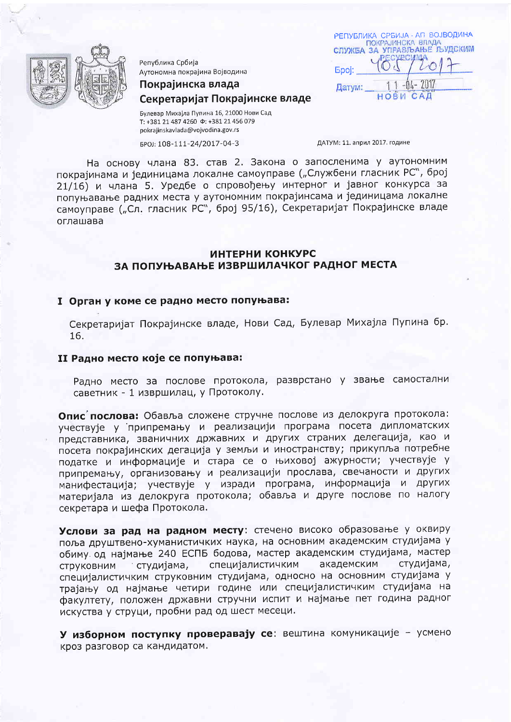

Република Србија Аутономна покрајина Војводина

Покрајинска влада

# Секретаријат Покрајинске владе

Булевар Михајла Пупина 16, 21000 Нови Сад T: +381 21 487 4260 \$: +381 21 456 079 pokrajinskavlada@vojvodina.gov.rs

БРОЈ: 108-111-24/2017-04-3

ДАТУМ: 11. април 2017. године

Epoi:

Датум:

РЕПУБЛИКА СРБИЈА - АП ВОЈВОДИНА<br>ПОКРАЈИНСКА ВЛАДА<br>СЛУЖБА ЗА УПРАВЉАЊЕ ЉУДСКИМ

**HOBW** 

 $701$ 

**CAL** 

На основу члана 83. став 2. Закона о запосленима у аутономним покрајинама и јединицама локалне самоуправе ("Службени гласник РС", број 21/16) и члана 5. Уредбе о спровођењу интерног и јавног конкурса за попуњавање радних места у аутономним покрајинсама и јединицама локалне самоуправе ("Сл. гласник РС", број 95/16), Секретаријат Покрајинске владе оглашава

# ИНТЕРНИ КОНКУРС ЗА ПОПУЊАВАЊЕ ИЗВРШИЛАЧКОГ РАДНОГ МЕСТА

## I Орган у коме се радно место попуњава:

Секретаријат Покрајинске владе, Нови Сад, Булевар Михајла Пупина бр. 16.

#### II Радно место које се попуњава:

Радно место за послове протокола, разврстано у звање самостални саветник - 1 извршилац, у Протоколу.

Опис послова: Обавља сложене стручне послове из делокруга протокола: учествује у припремању и реализацији програма посета дипломатских представника, званичних државних и других страних делегација, као и посета покрајинских дегација у земљи и иностранству; прикупља потребне податке и информације и стара се о њиховој ажурности; учествује у припремању, организовању и реализацији прослава, свечаности и других манифестација; учествује у изради програма, информација и других материјала из делокруга протокола; обавља и друге послове по налогу секретара и шефа Протокола.

Услови за рад на радном месту: стечено високо образовање у оквиру поља друштвено-хуманистичких наука, на основним академским студијама у обиму од најмање 240 ЕСПБ бодова, мастер академским студијама, мастер специјалистичким студијама, академским СТРУКОВНИМ студијама, специјалистичким струковним студијама, односно на основним студијама у трајању од најмање четири године или специјалистичким студијама на факултету, положен државни стручни испит и најмање пет година радног искуства у струци, пробни рад од шест месеци.

У изборном поступку проверавају се: вештина комуникације - усмено кроз разговор са кандидатом.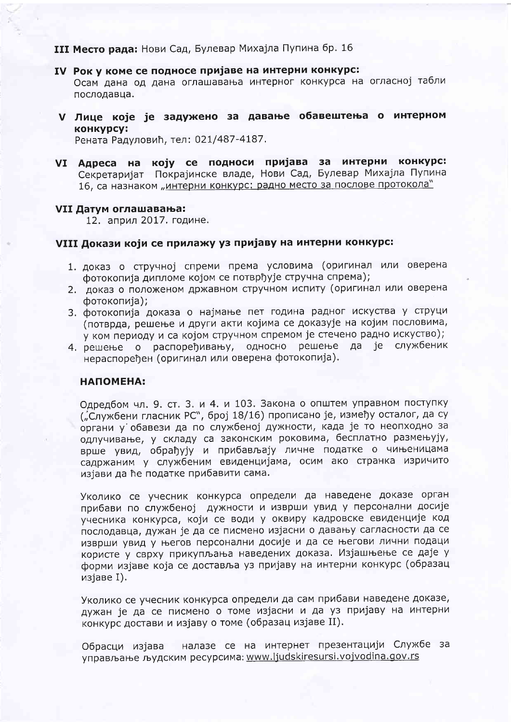**III Место рада:** Нови Сад, Булевар Михајла Пупина бр. 16

- IV Рок у коме се подносе пријаве на интерни конкурс: Осам дана од дана оглашавања интерног конкурса на огласној табли послодавца.
- V Лице које је задужено за давање обавештења о интерном KOHKVDCV:

Рената Радуловић, тел: 021/487-4187.

VI Адреса на коју се подноси пријава за интерни конкурс: Секретаријат Покрајинске владе, Нови Сад, Булевар Михајла Пупина 16, са назнаком "интерни конкурс: радно место за послове протокола"

#### VII Датум оглашавања:

12. април 2017. године.

### VIII Докази који се прилажу уз пријаву на интерни конкурс:

- 1. доказ о стручној спреми према условима (оригинал или оверена фотокопија дипломе којом се потврђује стручна спрема);
- 2. доказ о положеном државном стручном испиту (оригинал или оверена фотокопија);
- 3. фотокопија доказа о најмање пет година радног искуства у струци (потврда, решење и други акти којима се доказује на којим пословима, у ком периоду и са којом стручном спремом је стечено радно искуство);
- 4. решење о распоређивању, односно решење да је службеник нераспоређен (оригинал или оверена фотокопија).

# НАПОМЕНА:

Одредбом чл. 9. ст. 3. и 4. и 103. Закона о општем управном поступку ("Службени гласник РС", број 18/16) прописано је, између осталог, да су органи у обавези да по службеној дужности, када је то неопходно за одлучивање, у складу са законским роковима, бесплатно размењују, врше увид, обрађују и прибављају личне податке о чињеницама садржаним у службеним евиденцијама, осим ако странка изричито изјави да ће податке прибавити сама.

Уколико се учесник конкурса определи да наведене доказе орган прибави по службеној дужности и изврши увид у персонални досије учесника конкурса, који се води у оквиру кадровске евиденције код послодавца, дужан је да се писмено изјасни о давању сагласности да се изврши увид у његов персонални досије и да се његови лични подаци користе у сврху прикупљања наведених доказа. Изјашњење се даје у форми изјаве која се доставља уз пријаву на интерни конкурс (образац изјаве I).

Уколико се учесник конкурса определи да сам прибави наведене доказе, дужан је да се писмено о томе изјасни и да уз пријаву на интерни конкурс достави и изјаву о томе (образац изјаве II).

Обрасци изјава налазе се на интернет презентацији Службе за управљање људским ресурсима: www.ljudskiresursi.vojvodina.gov.rs